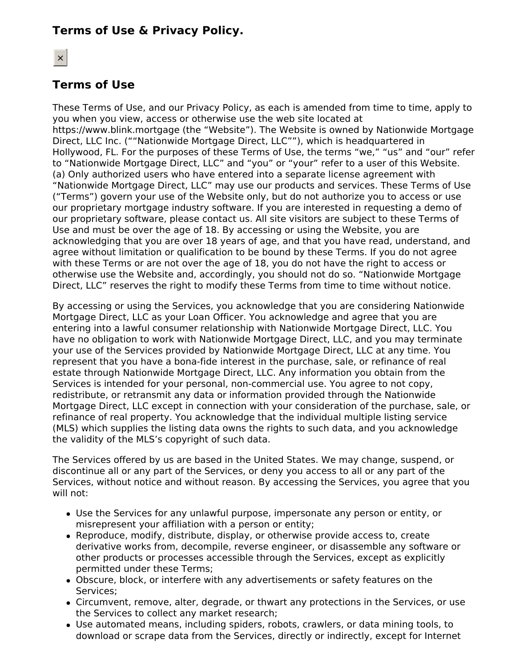# **Terms of Use & Privacy Policy.**

 $\vert x \vert$ 

# **Terms of Use**

These Terms of Use, and our Privacy Policy, as each is amended from time to time, apply to you when you view, access or otherwise use the web site located at https://www.blink.mortgage (the "Website"). The Website is owned by Nationwide Mortgage Direct, LLC Inc. (""Nationwide Mortgage Direct, LLC""), which is headquartered in Hollywood, FL. For the purposes of these Terms of Use, the terms "we," "us" and "our" refer to "Nationwide Mortgage Direct, LLC" and "you" or "your" refer to a user of this Website. (a) Only authorized users who have entered into a separate license agreement with "Nationwide Mortgage Direct, LLC" may use our products and services. These Terms of Use ("Terms") govern your use of the Website only, but do not authorize you to access or use our proprietary mortgage industry software. If you are interested in requesting a demo of our proprietary software, please contact us. All site visitors are subject to these Terms of Use and must be over the age of 18. By accessing or using the Website, you are acknowledging that you are over 18 years of age, and that you have read, understand, and agree without limitation or qualification to be bound by these Terms. If you do not agree with these Terms or are not over the age of 18, you do not have the right to access or otherwise use the Website and, accordingly, you should not do so. "Nationwide Mortgage Direct, LLC" reserves the right to modify these Terms from time to time without notice.

By accessing or using the Services, you acknowledge that you are considering Nationwide Mortgage Direct, LLC as your Loan Officer. You acknowledge and agree that you are entering into a lawful consumer relationship with Nationwide Mortgage Direct, LLC. You have no obligation to work with Nationwide Mortgage Direct, LLC, and you may terminate your use of the Services provided by Nationwide Mortgage Direct, LLC at any time. You represent that you have a bona-fide interest in the purchase, sale, or refinance of real estate through Nationwide Mortgage Direct, LLC. Any information you obtain from the Services is intended for your personal, non-commercial use. You agree to not copy, redistribute, or retransmit any data or information provided through the Nationwide Mortgage Direct, LLC except in connection with your consideration of the purchase, sale, or refinance of real property. You acknowledge that the individual multiple listing service (MLS) which supplies the listing data owns the rights to such data, and you acknowledge the validity of the MLS's copyright of such data.

The Services offered by us are based in the United States. We may change, suspend, or discontinue all or any part of the Services, or deny you access to all or any part of the Services, without notice and without reason. By accessing the Services, you agree that you will not:

- Use the Services for any unlawful purpose, impersonate any person or entity, or misrepresent your affiliation with a person or entity;
- Reproduce, modify, distribute, display, or otherwise provide access to, create derivative works from, decompile, reverse engineer, or disassemble any software or other products or processes accessible through the Services, except as explicitly permitted under these Terms;
- Obscure, block, or interfere with any advertisements or safety features on the Services;
- Circumvent, remove, alter, degrade, or thwart any protections in the Services, or use the Services to collect any market research;
- Use automated means, including spiders, robots, crawlers, or data mining tools, to download or scrape data from the Services, directly or indirectly, except for Internet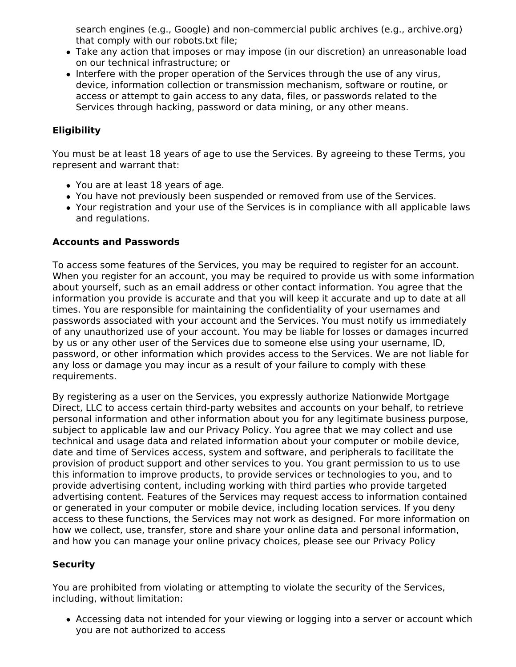search engines (e.g., Google) and non-commercial public archives (e.g., archive.org) that comply with our robots.txt file;

- Take any action that imposes or may impose (in our discretion) an unreasonable load on our technical infrastructure; or
- Interfere with the proper operation of the Services through the use of any virus, device, information collection or transmission mechanism, software or routine, or access or attempt to gain access to any data, files, or passwords related to the Services through hacking, password or data mining, or any other means.

# **Eligibility**

You must be at least 18 years of age to use the Services. By agreeing to these Terms, you represent and warrant that:

- You are at least 18 years of age.
- You have not previously been suspended or removed from use of the Services.
- Your registration and your use of the Services is in compliance with all applicable laws and regulations.

### **Accounts and Passwords**

To access some features of the Services, you may be required to register for an account. When you register for an account, you may be required to provide us with some information about yourself, such as an email address or other contact information. You agree that the information you provide is accurate and that you will keep it accurate and up to date at all times. You are responsible for maintaining the confidentiality of your usernames and passwords associated with your account and the Services. You must notify us immediately of any unauthorized use of your account. You may be liable for losses or damages incurred by us or any other user of the Services due to someone else using your username, ID, password, or other information which provides access to the Services. We are not liable for any loss or damage you may incur as a result of your failure to comply with these requirements.

By registering as a user on the Services, you expressly authorize Nationwide Mortgage Direct, LLC to access certain third-party websites and accounts on your behalf, to retrieve personal information and other information about you for any legitimate business purpose, subject to applicable law and our Privacy Policy. You agree that we may collect and use technical and usage data and related information about your computer or mobile device, date and time of Services access, system and software, and peripherals to facilitate the provision of product support and other services to you. You grant permission to us to use this information to improve products, to provide services or technologies to you, and to provide advertising content, including working with third parties who provide targeted advertising content. Features of the Services may request access to information contained or generated in your computer or mobile device, including location services. If you deny access to these functions, the Services may not work as designed. For more information on how we collect, use, transfer, store and share your online data and personal information, and how you can manage your online privacy choices, please see our Privacy Policy

# **Security**

You are prohibited from violating or attempting to violate the security of the Services, including, without limitation:

Accessing data not intended for your viewing or logging into a server or account which you are not authorized to access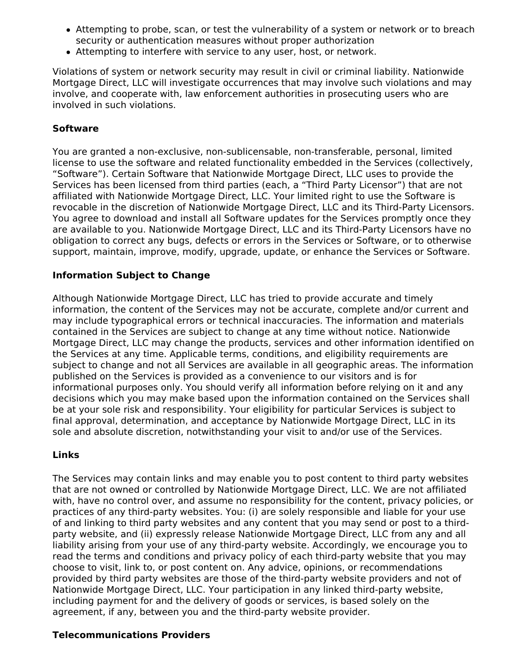- Attempting to probe, scan, or test the vulnerability of a system or network or to breach security or authentication measures without proper authorization
- Attempting to interfere with service to any user, host, or network.

Violations of system or network security may result in civil or criminal liability. Nationwide Mortgage Direct, LLC will investigate occurrences that may involve such violations and may involve, and cooperate with, law enforcement authorities in prosecuting users who are involved in such violations.

### **Software**

You are granted a non-exclusive, non-sublicensable, non-transferable, personal, limited license to use the software and related functionality embedded in the Services (collectively, "Software"). Certain Software that Nationwide Mortgage Direct, LLC uses to provide the Services has been licensed from third parties (each, a "Third Party Licensor") that are not affiliated with Nationwide Mortgage Direct, LLC. Your limited right to use the Software is revocable in the discretion of Nationwide Mortgage Direct, LLC and its Third-Party Licensors. You agree to download and install all Software updates for the Services promptly once they are available to you. Nationwide Mortgage Direct, LLC and its Third-Party Licensors have no obligation to correct any bugs, defects or errors in the Services or Software, or to otherwise support, maintain, improve, modify, upgrade, update, or enhance the Services or Software.

### **Information Subject to Change**

Although Nationwide Mortgage Direct, LLC has tried to provide accurate and timely information, the content of the Services may not be accurate, complete and/or current and may include typographical errors or technical inaccuracies. The information and materials contained in the Services are subject to change at any time without notice. Nationwide Mortgage Direct, LLC may change the products, services and other information identified on the Services at any time. Applicable terms, conditions, and eligibility requirements are subject to change and not all Services are available in all geographic areas. The information published on the Services is provided as a convenience to our visitors and is for informational purposes only. You should verify all information before relying on it and any decisions which you may make based upon the information contained on the Services shall be at your sole risk and responsibility. Your eligibility for particular Services is subject to final approval, determination, and acceptance by Nationwide Mortgage Direct, LLC in its sole and absolute discretion, notwithstanding your visit to and/or use of the Services.

### **Links**

The Services may contain links and may enable you to post content to third party websites that are not owned or controlled by Nationwide Mortgage Direct, LLC. We are not affiliated with, have no control over, and assume no responsibility for the content, privacy policies, or practices of any third-party websites. You: (i) are solely responsible and liable for your use of and linking to third party websites and any content that you may send or post to a thirdparty website, and (ii) expressly release Nationwide Mortgage Direct, LLC from any and all liability arising from your use of any third-party website. Accordingly, we encourage you to read the terms and conditions and privacy policy of each third-party website that you may choose to visit, link to, or post content on. Any advice, opinions, or recommendations provided by third party websites are those of the third-party website providers and not of Nationwide Mortgage Direct, LLC. Your participation in any linked third-party website, including payment for and the delivery of goods or services, is based solely on the agreement, if any, between you and the third-party website provider.

### **Telecommunications Providers**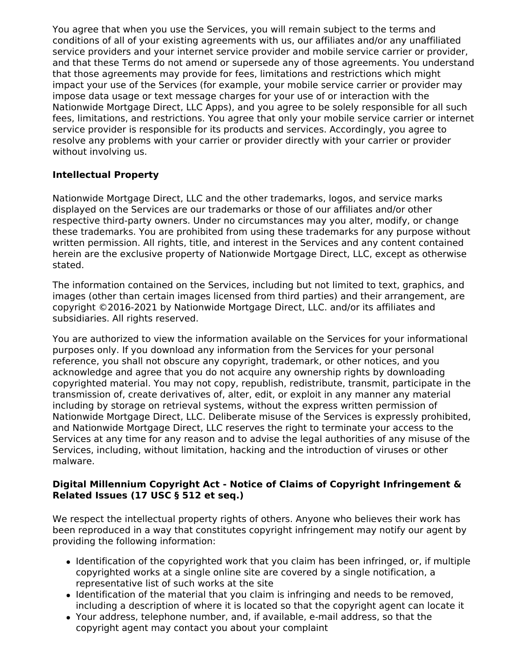You agree that when you use the Services, you will remain subject to the terms and conditions of all of your existing agreements with us, our affiliates and/or any unaffiliated service providers and your internet service provider and mobile service carrier or provider, and that these Terms do not amend or supersede any of those agreements. You understand that those agreements may provide for fees, limitations and restrictions which might impact your use of the Services (for example, your mobile service carrier or provider may impose data usage or text message charges for your use of or interaction with the Nationwide Mortgage Direct, LLC Apps), and you agree to be solely responsible for all such fees, limitations, and restrictions. You agree that only your mobile service carrier or internet service provider is responsible for its products and services. Accordingly, you agree to resolve any problems with your carrier or provider directly with your carrier or provider without involving us.

## **Intellectual Property**

Nationwide Mortgage Direct, LLC and the other trademarks, logos, and service marks displayed on the Services are our trademarks or those of our affiliates and/or other respective third-party owners. Under no circumstances may you alter, modify, or change these trademarks. You are prohibited from using these trademarks for any purpose without written permission. All rights, title, and interest in the Services and any content contained herein are the exclusive property of Nationwide Mortgage Direct, LLC, except as otherwise stated.

The information contained on the Services, including but not limited to text, graphics, and images (other than certain images licensed from third parties) and their arrangement, are copyright ©2016-2021 by Nationwide Mortgage Direct, LLC. and/or its affiliates and subsidiaries. All rights reserved.

You are authorized to view the information available on the Services for your informational purposes only. If you download any information from the Services for your personal reference, you shall not obscure any copyright, trademark, or other notices, and you acknowledge and agree that you do not acquire any ownership rights by downloading copyrighted material. You may not copy, republish, redistribute, transmit, participate in the transmission of, create derivatives of, alter, edit, or exploit in any manner any material including by storage on retrieval systems, without the express written permission of Nationwide Mortgage Direct, LLC. Deliberate misuse of the Services is expressly prohibited, and Nationwide Mortgage Direct, LLC reserves the right to terminate your access to the Services at any time for any reason and to advise the legal authorities of any misuse of the Services, including, without limitation, hacking and the introduction of viruses or other malware.

## **Digital Millennium Copyright Act - Notice of Claims of Copyright Infringement & Related Issues (17 USC § 512 et seq.)**

We respect the intellectual property rights of others. Anyone who believes their work has been reproduced in a way that constitutes copyright infringement may notify our agent by providing the following information:

- Identification of the copyrighted work that you claim has been infringed, or, if multiple copyrighted works at a single online site are covered by a single notification, a representative list of such works at the site
- Identification of the material that you claim is infringing and needs to be removed, including a description of where it is located so that the copyright agent can locate it
- Your address, telephone number, and, if available, e-mail address, so that the copyright agent may contact you about your complaint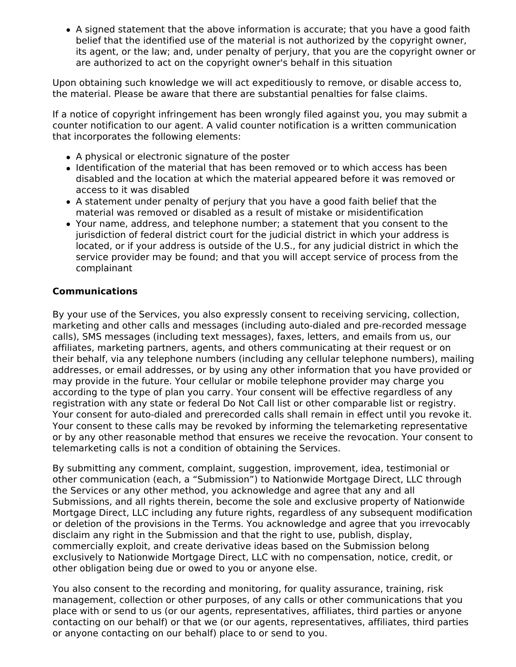A signed statement that the above information is accurate; that you have a good faith belief that the identified use of the material is not authorized by the copyright owner, its agent, or the law; and, under penalty of perjury, that you are the copyright owner or are authorized to act on the copyright owner's behalf in this situation

Upon obtaining such knowledge we will act expeditiously to remove, or disable access to, the material. Please be aware that there are substantial penalties for false claims.

If a notice of copyright infringement has been wrongly filed against you, you may submit a counter notification to our agent. A valid counter notification is a written communication that incorporates the following elements:

- A physical or electronic signature of the poster
- Identification of the material that has been removed or to which access has been disabled and the location at which the material appeared before it was removed or access to it was disabled
- A statement under penalty of perjury that you have a good faith belief that the material was removed or disabled as a result of mistake or misidentification
- Your name, address, and telephone number; a statement that you consent to the jurisdiction of federal district court for the judicial district in which your address is located, or if your address is outside of the U.S., for any judicial district in which the service provider may be found; and that you will accept service of process from the complainant

## **Communications**

By your use of the Services, you also expressly consent to receiving servicing, collection, marketing and other calls and messages (including auto-dialed and pre-recorded message calls), SMS messages (including text messages), faxes, letters, and emails from us, our affiliates, marketing partners, agents, and others communicating at their request or on their behalf, via any telephone numbers (including any cellular telephone numbers), mailing addresses, or email addresses, or by using any other information that you have provided or may provide in the future. Your cellular or mobile telephone provider may charge you according to the type of plan you carry. Your consent will be effective regardless of any registration with any state or federal Do Not Call list or other comparable list or registry. Your consent for auto-dialed and prerecorded calls shall remain in effect until you revoke it. Your consent to these calls may be revoked by informing the telemarketing representative or by any other reasonable method that ensures we receive the revocation. Your consent to telemarketing calls is not a condition of obtaining the Services.

By submitting any comment, complaint, suggestion, improvement, idea, testimonial or other communication (each, a "Submission") to Nationwide Mortgage Direct, LLC through the Services or any other method, you acknowledge and agree that any and all Submissions, and all rights therein, become the sole and exclusive property of Nationwide Mortgage Direct, LLC including any future rights, regardless of any subsequent modification or deletion of the provisions in the Terms. You acknowledge and agree that you irrevocably disclaim any right in the Submission and that the right to use, publish, display, commercially exploit, and create derivative ideas based on the Submission belong exclusively to Nationwide Mortgage Direct, LLC with no compensation, notice, credit, or other obligation being due or owed to you or anyone else.

You also consent to the recording and monitoring, for quality assurance, training, risk management, collection or other purposes, of any calls or other communications that you place with or send to us (or our agents, representatives, affiliates, third parties or anyone contacting on our behalf) or that we (or our agents, representatives, affiliates, third parties or anyone contacting on our behalf) place to or send to you.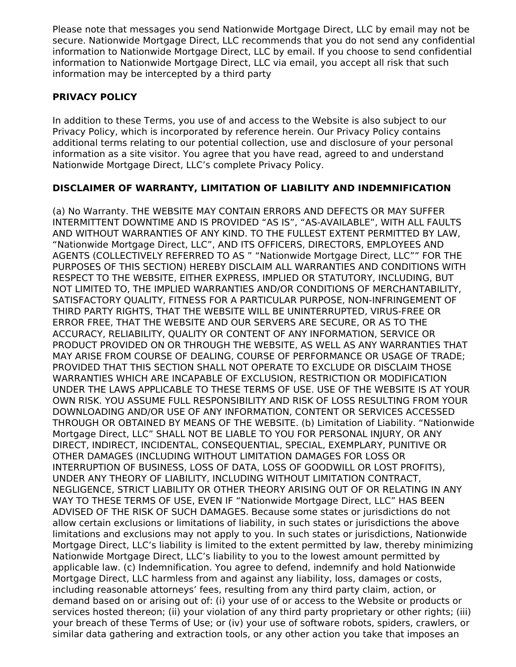Please note that messages you send Nationwide Mortgage Direct, LLC by email may not be secure. Nationwide Mortgage Direct, LLC recommends that you do not send any confidential information to Nationwide Mortgage Direct, LLC by email. If you choose to send confidential information to Nationwide Mortgage Direct, LLC via email, you accept all risk that such information may be intercepted by a third party

# **PRIVACY POLICY**

In addition to these Terms, you use of and access to the Website is also subject to our Privacy Policy, which is incorporated by reference herein. Our Privacy Policy contains additional terms relating to our potential collection, use and disclosure of your personal information as a site visitor. You agree that you have read, agreed to and understand Nationwide Mortgage Direct, LLC's complete Privacy Policy.

# **DISCLAIMER OF WARRANTY, LIMITATION OF LIABILITY AND INDEMNIFICATION**

(a) No Warranty. THE WEBSITE MAY CONTAIN ERRORS AND DEFECTS OR MAY SUFFER INTERMITTENT DOWNTIME AND IS PROVIDED "AS IS", "AS-AVAILABLE", WITH ALL FAULTS AND WITHOUT WARRANTIES OF ANY KIND. TO THE FULLEST EXTENT PERMITTED BY LAW, "Nationwide Mortgage Direct, LLC", AND ITS OFFICERS, DIRECTORS, EMPLOYEES AND AGENTS (COLLECTIVELY REFERRED TO AS " "Nationwide Mortgage Direct, LLC"" FOR THE PURPOSES OF THIS SECTION) HEREBY DISCLAIM ALL WARRANTIES AND CONDITIONS WITH RESPECT TO THE WEBSITE, EITHER EXPRESS, IMPLIED OR STATUTORY, INCLUDING, BUT NOT LIMITED TO, THE IMPLIED WARRANTIES AND/OR CONDITIONS OF MERCHANTABILITY, SATISFACTORY QUALITY, FITNESS FOR A PARTICULAR PURPOSE, NON-INFRINGEMENT OF THIRD PARTY RIGHTS, THAT THE WEBSITE WILL BE UNINTERRUPTED, VIRUS-FREE OR ERROR FREE, THAT THE WEBSITE AND OUR SERVERS ARE SECURE, OR AS TO THE ACCURACY, RELIABILITY, QUALITY OR CONTENT OF ANY INFORMATION, SERVICE OR PRODUCT PROVIDED ON OR THROUGH THE WEBSITE, AS WELL AS ANY WARRANTIES THAT MAY ARISE FROM COURSE OF DEALING, COURSE OF PERFORMANCE OR USAGE OF TRADE; PROVIDED THAT THIS SECTION SHALL NOT OPERATE TO EXCLUDE OR DISCLAIM THOSE WARRANTIES WHICH ARE INCAPABLE OF EXCLUSION, RESTRICTION OR MODIFICATION UNDER THE LAWS APPLICABLE TO THESE TERMS OF USE. USE OF THE WEBSITE IS AT YOUR OWN RISK. YOU ASSUME FULL RESPONSIBILITY AND RISK OF LOSS RESULTING FROM YOUR DOWNLOADING AND/OR USE OF ANY INFORMATION, CONTENT OR SERVICES ACCESSED THROUGH OR OBTAINED BY MEANS OF THE WEBSITE. (b) Limitation of Liability. "Nationwide Mortgage Direct, LLC" SHALL NOT BE LIABLE TO YOU FOR PERSONAL INJURY, OR ANY DIRECT, INDIRECT, INCIDENTAL, CONSEQUENTIAL, SPECIAL, EXEMPLARY, PUNITIVE OR OTHER DAMAGES (INCLUDING WITHOUT LIMITATION DAMAGES FOR LOSS OR INTERRUPTION OF BUSINESS, LOSS OF DATA, LOSS OF GOODWILL OR LOST PROFITS), UNDER ANY THEORY OF LIABILITY, INCLUDING WITHOUT LIMITATION CONTRACT, NEGLIGENCE, STRICT LIABILITY OR OTHER THEORY ARISING OUT OF OR RELATING IN ANY WAY TO THESE TERMS OF USE, EVEN IF "Nationwide Mortgage Direct, LLC" HAS BEEN ADVISED OF THE RISK OF SUCH DAMAGES. Because some states or jurisdictions do not allow certain exclusions or limitations of liability, in such states or jurisdictions the above limitations and exclusions may not apply to you. In such states or jurisdictions, Nationwide Mortgage Direct, LLC's liability is limited to the extent permitted by law, thereby minimizing Nationwide Mortgage Direct, LLC's liability to you to the lowest amount permitted by applicable law. (c) Indemnification. You agree to defend, indemnify and hold Nationwide Mortgage Direct, LLC harmless from and against any liability, loss, damages or costs, including reasonable attorneys' fees, resulting from any third party claim, action, or demand based on or arising out of: (i) your use of or access to the Website or products or services hosted thereon; (ii) your violation of any third party proprietary or other rights; (iii) your breach of these Terms of Use; or (iv) your use of software robots, spiders, crawlers, or similar data gathering and extraction tools, or any other action you take that imposes an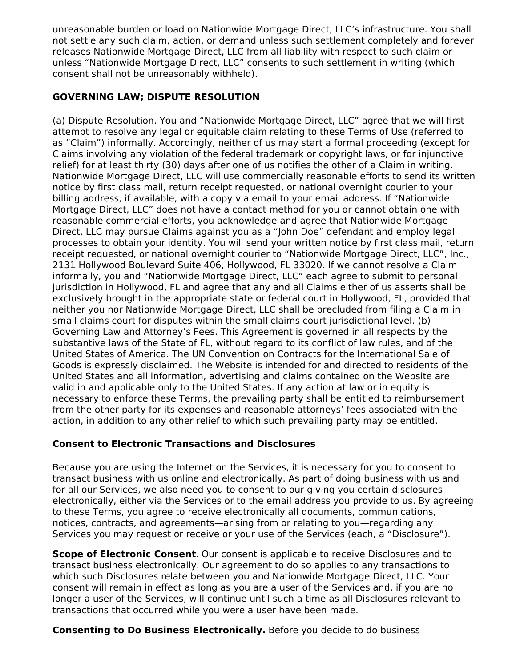unreasonable burden or load on Nationwide Mortgage Direct, LLC's infrastructure. You shall not settle any such claim, action, or demand unless such settlement completely and forever releases Nationwide Mortgage Direct, LLC from all liability with respect to such claim or unless "Nationwide Mortgage Direct, LLC" consents to such settlement in writing (which consent shall not be unreasonably withheld).

# **GOVERNING LAW; DISPUTE RESOLUTION**

(a) Dispute Resolution. You and "Nationwide Mortgage Direct, LLC" agree that we will first attempt to resolve any legal or equitable claim relating to these Terms of Use (referred to as "Claim") informally. Accordingly, neither of us may start a formal proceeding (except for Claims involving any violation of the federal trademark or copyright laws, or for injunctive relief) for at least thirty (30) days after one of us notifies the other of a Claim in writing. Nationwide Mortgage Direct, LLC will use commercially reasonable efforts to send its written notice by first class mail, return receipt requested, or national overnight courier to your billing address, if available, with a copy via email to your email address. If "Nationwide Mortgage Direct, LLC" does not have a contact method for you or cannot obtain one with reasonable commercial efforts, you acknowledge and agree that Nationwide Mortgage Direct, LLC may pursue Claims against you as a "John Doe" defendant and employ legal processes to obtain your identity. You will send your written notice by first class mail, return receipt requested, or national overnight courier to "Nationwide Mortgage Direct, LLC", Inc., 2131 Hollywood Boulevard Suite 406, Hollywood, FL 33020. If we cannot resolve a Claim informally, you and "Nationwide Mortgage Direct, LLC" each agree to submit to personal jurisdiction in Hollywood, FL and agree that any and all Claims either of us asserts shall be exclusively brought in the appropriate state or federal court in Hollywood, FL, provided that neither you nor Nationwide Mortgage Direct, LLC shall be precluded from filing a Claim in small claims court for disputes within the small claims court jurisdictional level. (b) Governing Law and Attorney's Fees. This Agreement is governed in all respects by the substantive laws of the State of FL, without regard to its conflict of law rules, and of the United States of America. The UN Convention on Contracts for the International Sale of Goods is expressly disclaimed. The Website is intended for and directed to residents of the United States and all information, advertising and claims contained on the Website are valid in and applicable only to the United States. If any action at law or in equity is necessary to enforce these Terms, the prevailing party shall be entitled to reimbursement from the other party for its expenses and reasonable attorneys' fees associated with the action, in addition to any other relief to which such prevailing party may be entitled.

# **Consent to Electronic Transactions and Disclosures**

Because you are using the Internet on the Services, it is necessary for you to consent to transact business with us online and electronically. As part of doing business with us and for all our Services, we also need you to consent to our giving you certain disclosures electronically, either via the Services or to the email address you provide to us. By agreeing to these Terms, you agree to receive electronically all documents, communications, notices, contracts, and agreements—arising from or relating to you—regarding any Services you may request or receive or your use of the Services (each, a "Disclosure").

**Scope of Electronic Consent**. Our consent is applicable to receive Disclosures and to transact business electronically. Our agreement to do so applies to any transactions to which such Disclosures relate between you and Nationwide Mortgage Direct, LLC. Your consent will remain in effect as long as you are a user of the Services and, if you are no longer a user of the Services, will continue until such a time as all Disclosures relevant to transactions that occurred while you were a user have been made.

**Consenting to Do Business Electronically.** Before you decide to do business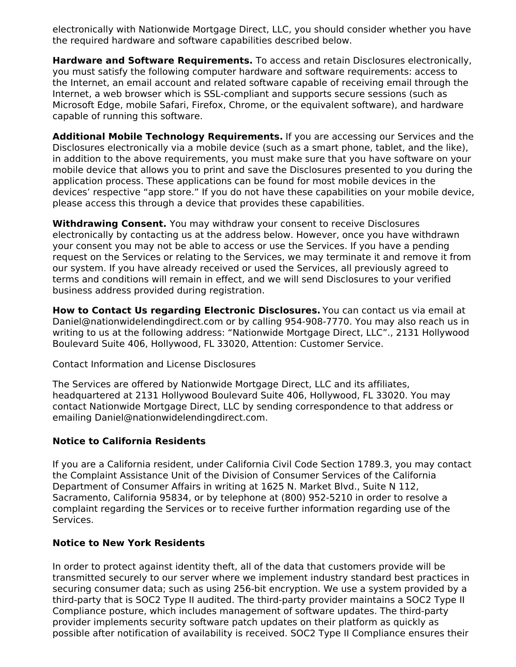electronically with Nationwide Mortgage Direct, LLC, you should consider whether you have the required hardware and software capabilities described below.

**Hardware and Software Requirements.** To access and retain Disclosures electronically, you must satisfy the following computer hardware and software requirements: access to the Internet, an email account and related software capable of receiving email through the Internet, a web browser which is SSL-compliant and supports secure sessions (such as Microsoft Edge, mobile Safari, Firefox, Chrome, or the equivalent software), and hardware capable of running this software.

**Additional Mobile Technology Requirements.** If you are accessing our Services and the Disclosures electronically via a mobile device (such as a smart phone, tablet, and the like), in addition to the above requirements, you must make sure that you have software on your mobile device that allows you to print and save the Disclosures presented to you during the application process. These applications can be found for most mobile devices in the devices' respective "app store." If you do not have these capabilities on your mobile device, please access this through a device that provides these capabilities.

**Withdrawing Consent.** You may withdraw your consent to receive Disclosures electronically by contacting us at the address below. However, once you have withdrawn your consent you may not be able to access or use the Services. If you have a pending request on the Services or relating to the Services, we may terminate it and remove it from our system. If you have already received or used the Services, all previously agreed to terms and conditions will remain in effect, and we will send Disclosures to your verified business address provided during registration.

**How to Contact Us regarding Electronic Disclosures.** You can contact us via email at Daniel@nationwidelendingdirect.com or by calling 954-908-7770. You may also reach us in writing to us at the following address: "Nationwide Mortgage Direct, LLC"., 2131 Hollywood Boulevard Suite 406, Hollywood, FL 33020, Attention: Customer Service.

Contact Information and License Disclosures

The Services are offered by Nationwide Mortgage Direct, LLC and its affiliates, headquartered at 2131 Hollywood Boulevard Suite 406, Hollywood, FL 33020. You may contact Nationwide Mortgage Direct, LLC by sending correspondence to that address or emailing Daniel@nationwidelendingdirect.com.

### **Notice to California Residents**

If you are a California resident, under California Civil Code Section 1789.3, you may contact the Complaint Assistance Unit of the Division of Consumer Services of the California Department of Consumer Affairs in writing at 1625 N. Market Blvd., Suite N 112, Sacramento, California 95834, or by telephone at (800) 952-5210 in order to resolve a complaint regarding the Services or to receive further information regarding use of the Services.

### **Notice to New York Residents**

In order to protect against identity theft, all of the data that customers provide will be transmitted securely to our server where we implement industry standard best practices in securing consumer data; such as using 256-bit encryption. We use a system provided by a third-party that is SOC2 Type II audited. The third-party provider maintains a SOC2 Type II Compliance posture, which includes management of software updates. The third-party provider implements security software patch updates on their platform as quickly as possible after notification of availability is received. SOC2 Type II Compliance ensures their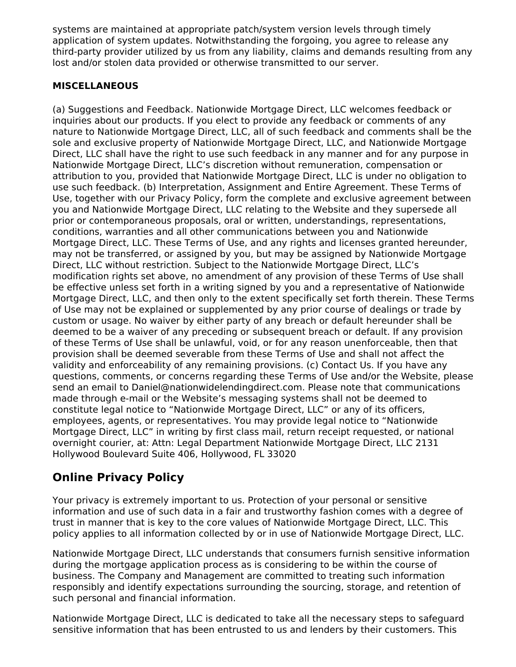systems are maintained at appropriate patch/system version levels through timely application of system updates. Notwithstanding the forgoing, you agree to release any third-party provider utilized by us from any liability, claims and demands resulting from any lost and/or stolen data provided or otherwise transmitted to our server.

## **MISCELLANEOUS**

(a) Suggestions and Feedback. Nationwide Mortgage Direct, LLC welcomes feedback or inquiries about our products. If you elect to provide any feedback or comments of any nature to Nationwide Mortgage Direct, LLC, all of such feedback and comments shall be the sole and exclusive property of Nationwide Mortgage Direct, LLC, and Nationwide Mortgage Direct, LLC shall have the right to use such feedback in any manner and for any purpose in Nationwide Mortgage Direct, LLC's discretion without remuneration, compensation or attribution to you, provided that Nationwide Mortgage Direct, LLC is under no obligation to use such feedback. (b) Interpretation, Assignment and Entire Agreement. These Terms of Use, together with our Privacy Policy, form the complete and exclusive agreement between you and Nationwide Mortgage Direct, LLC relating to the Website and they supersede all prior or contemporaneous proposals, oral or written, understandings, representations, conditions, warranties and all other communications between you and Nationwide Mortgage Direct, LLC. These Terms of Use, and any rights and licenses granted hereunder, may not be transferred, or assigned by you, but may be assigned by Nationwide Mortgage Direct, LLC without restriction. Subject to the Nationwide Mortgage Direct, LLC's modification rights set above, no amendment of any provision of these Terms of Use shall be effective unless set forth in a writing signed by you and a representative of Nationwide Mortgage Direct, LLC, and then only to the extent specifically set forth therein. These Terms of Use may not be explained or supplemented by any prior course of dealings or trade by custom or usage. No waiver by either party of any breach or default hereunder shall be deemed to be a waiver of any preceding or subsequent breach or default. If any provision of these Terms of Use shall be unlawful, void, or for any reason unenforceable, then that provision shall be deemed severable from these Terms of Use and shall not affect the validity and enforceability of any remaining provisions. (c) Contact Us. If you have any questions, comments, or concerns regarding these Terms of Use and/or the Website, please send an email to Daniel@nationwidelendingdirect.com. Please note that communications made through e-mail or the Website's messaging systems shall not be deemed to constitute legal notice to "Nationwide Mortgage Direct, LLC" or any of its officers, employees, agents, or representatives. You may provide legal notice to "Nationwide Mortgage Direct, LLC" in writing by first class mail, return receipt requested, or national overnight courier, at: Attn: Legal Department Nationwide Mortgage Direct, LLC 2131 Hollywood Boulevard Suite 406, Hollywood, FL 33020

# **Online Privacy Policy**

Your privacy is extremely important to us. Protection of your personal or sensitive information and use of such data in a fair and trustworthy fashion comes with a degree of trust in manner that is key to the core values of Nationwide Mortgage Direct, LLC. This policy applies to all information collected by or in use of Nationwide Mortgage Direct, LLC.

Nationwide Mortgage Direct, LLC understands that consumers furnish sensitive information during the mortgage application process as is considering to be within the course of business. The Company and Management are committed to treating such information responsibly and identify expectations surrounding the sourcing, storage, and retention of such personal and financial information.

Nationwide Mortgage Direct, LLC is dedicated to take all the necessary steps to safeguard sensitive information that has been entrusted to us and lenders by their customers. This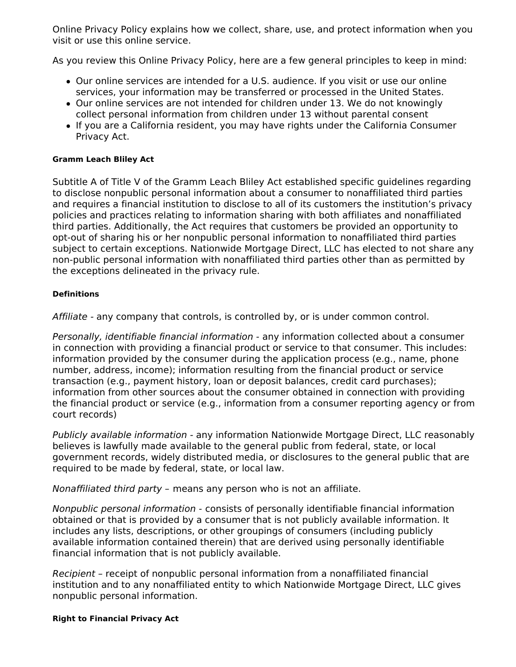Online Privacy Policy explains how we collect, share, use, and protect information when you visit or use this online service.

As you review this Online Privacy Policy, here are a few general principles to keep in mind:

- Our online services are intended for a U.S. audience. If you visit or use our online services, your information may be transferred or processed in the United States.
- Our online services are not intended for children under 13. We do not knowingly collect personal information from children under 13 without parental consent
- If you are a California resident, you may have rights under the California Consumer Privacy Act.

### **Gramm Leach Bliley Act**

Subtitle A of Title V of the Gramm Leach Bliley Act established specific guidelines regarding to disclose nonpublic personal information about a consumer to nonaffiliated third parties and requires a financial institution to disclose to all of its customers the institution's privacy policies and practices relating to information sharing with both affiliates and nonaffiliated third parties. Additionally, the Act requires that customers be provided an opportunity to opt-out of sharing his or her nonpublic personal information to nonaffiliated third parties subject to certain exceptions. Nationwide Mortgage Direct, LLC has elected to not share any non-public personal information with nonaffiliated third parties other than as permitted by the exceptions delineated in the privacy rule.

### **Definitions**

Affiliate - any company that controls, is controlled by, or is under common control.

Personally, identifiable financial information - any information collected about a consumer in connection with providing a financial product or service to that consumer. This includes: information provided by the consumer during the application process (e.g., name, phone number, address, income); information resulting from the financial product or service transaction (e.g., payment history, loan or deposit balances, credit card purchases); information from other sources about the consumer obtained in connection with providing the financial product or service (e.g., information from a consumer reporting agency or from court records)

Publicly available information - any information Nationwide Mortgage Direct, LLC reasonably believes is lawfully made available to the general public from federal, state, or local government records, widely distributed media, or disclosures to the general public that are required to be made by federal, state, or local law.

Nonaffiliated third party – means any person who is not an affiliate.

Nonpublic personal information - consists of personally identifiable financial information obtained or that is provided by a consumer that is not publicly available information. It includes any lists, descriptions, or other groupings of consumers (including publicly available information contained therein) that are derived using personally identifiable financial information that is not publicly available.

Recipient – receipt of nonpublic personal information from a nonaffiliated financial institution and to any nonaffiliated entity to which Nationwide Mortgage Direct, LLC gives nonpublic personal information.

#### **Right to Financial Privacy Act**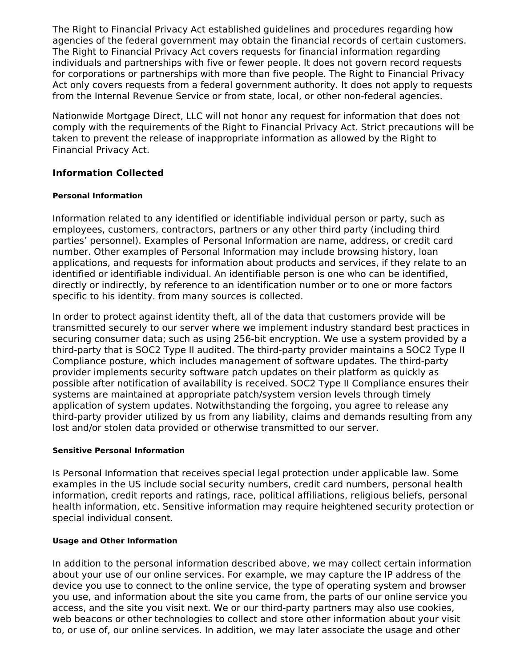The Right to Financial Privacy Act established guidelines and procedures regarding how agencies of the federal government may obtain the financial records of certain customers. The Right to Financial Privacy Act covers requests for financial information regarding individuals and partnerships with five or fewer people. It does not govern record requests for corporations or partnerships with more than five people. The Right to Financial Privacy Act only covers requests from a federal government authority. It does not apply to requests from the Internal Revenue Service or from state, local, or other non-federal agencies.

Nationwide Mortgage Direct, LLC will not honor any request for information that does not comply with the requirements of the Right to Financial Privacy Act. Strict precautions will be taken to prevent the release of inappropriate information as allowed by the Right to Financial Privacy Act.

### **Information Collected**

### **Personal Information**

Information related to any identified or identifiable individual person or party, such as employees, customers, contractors, partners or any other third party (including third parties' personnel). Examples of Personal Information are name, address, or credit card number. Other examples of Personal Information may include browsing history, loan applications, and requests for information about products and services, if they relate to an identified or identifiable individual. An identifiable person is one who can be identified, directly or indirectly, by reference to an identification number or to one or more factors specific to his identity. from many sources is collected.

In order to protect against identity theft, all of the data that customers provide will be transmitted securely to our server where we implement industry standard best practices in securing consumer data; such as using 256-bit encryption. We use a system provided by a third-party that is SOC2 Type II audited. The third-party provider maintains a SOC2 Type II Compliance posture, which includes management of software updates. The third-party provider implements security software patch updates on their platform as quickly as possible after notification of availability is received. SOC2 Type II Compliance ensures their systems are maintained at appropriate patch/system version levels through timely application of system updates. Notwithstanding the forgoing, you agree to release any third-party provider utilized by us from any liability, claims and demands resulting from any lost and/or stolen data provided or otherwise transmitted to our server.

#### **Sensitive Personal Information**

Is Personal Information that receives special legal protection under applicable law. Some examples in the US include social security numbers, credit card numbers, personal health information, credit reports and ratings, race, political affiliations, religious beliefs, personal health information, etc. Sensitive information may require heightened security protection or special individual consent.

#### **Usage and Other Information**

In addition to the personal information described above, we may collect certain information about your use of our online services. For example, we may capture the IP address of the device you use to connect to the online service, the type of operating system and browser you use, and information about the site you came from, the parts of our online service you access, and the site you visit next. We or our third-party partners may also use cookies, web beacons or other technologies to collect and store other information about your visit to, or use of, our online services. In addition, we may later associate the usage and other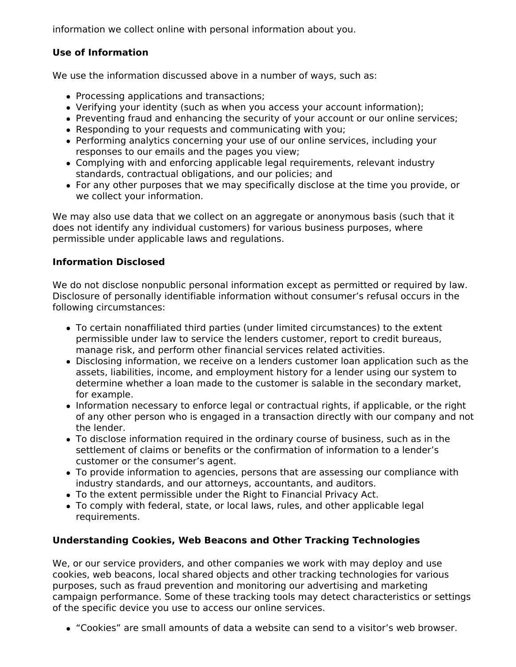information we collect online with personal information about you.

# **Use of Information**

We use the information discussed above in a number of ways, such as:

- Processing applications and transactions;
- Verifying your identity (such as when you access your account information);
- Preventing fraud and enhancing the security of your account or our online services;
- Responding to your requests and communicating with you;
- Performing analytics concerning your use of our online services, including your responses to our emails and the pages you view;
- Complying with and enforcing applicable legal requirements, relevant industry standards, contractual obligations, and our policies; and
- For any other purposes that we may specifically disclose at the time you provide, or we collect your information.

We may also use data that we collect on an aggregate or anonymous basis (such that it does not identify any individual customers) for various business purposes, where permissible under applicable laws and regulations.

# **Information Disclosed**

We do not disclose nonpublic personal information except as permitted or required by law. Disclosure of personally identifiable information without consumer's refusal occurs in the following circumstances:

- To certain nonaffiliated third parties (under limited circumstances) to the extent permissible under law to service the lenders customer, report to credit bureaus, manage risk, and perform other financial services related activities.
- Disclosing information, we receive on a lenders customer loan application such as the assets, liabilities, income, and employment history for a lender using our system to determine whether a loan made to the customer is salable in the secondary market, for example.
- Information necessary to enforce legal or contractual rights, if applicable, or the right of any other person who is engaged in a transaction directly with our company and not the lender.
- To disclose information required in the ordinary course of business, such as in the settlement of claims or benefits or the confirmation of information to a lender's customer or the consumer's agent.
- To provide information to agencies, persons that are assessing our compliance with industry standards, and our attorneys, accountants, and auditors.
- To the extent permissible under the Right to Financial Privacy Act.
- To comply with federal, state, or local laws, rules, and other applicable legal requirements.

# **Understanding Cookies, Web Beacons and Other Tracking Technologies**

We, or our service providers, and other companies we work with may deploy and use cookies, web beacons, local shared objects and other tracking technologies for various purposes, such as fraud prevention and monitoring our advertising and marketing campaign performance. Some of these tracking tools may detect characteristics or settings of the specific device you use to access our online services.

"Cookies" are small amounts of data a website can send to a visitor's web browser.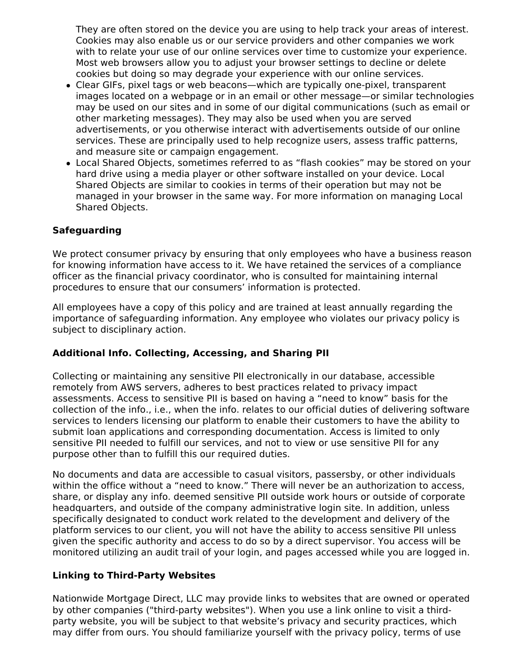They are often stored on the device you are using to help track your areas of interest. Cookies may also enable us or our service providers and other companies we work with to relate your use of our online services over time to customize your experience. Most web browsers allow you to adjust your browser settings to decline or delete cookies but doing so may degrade your experience with our online services.

- Clear GIFs, pixel tags or web beacons—which are typically one-pixel, transparent images located on a webpage or in an email or other message—or similar technologies may be used on our sites and in some of our digital communications (such as email or other marketing messages). They may also be used when you are served advertisements, or you otherwise interact with advertisements outside of our online services. These are principally used to help recognize users, assess traffic patterns, and measure site or campaign engagement.
- Local Shared Objects, sometimes referred to as "flash cookies" may be stored on your hard drive using a media player or other software installed on your device. Local Shared Objects are similar to cookies in terms of their operation but may not be managed in your browser in the same way. For more information on managing Local Shared Objects.

# **Safeguarding**

We protect consumer privacy by ensuring that only employees who have a business reason for knowing information have access to it. We have retained the services of a compliance officer as the financial privacy coordinator, who is consulted for maintaining internal procedures to ensure that our consumers' information is protected.

All employees have a copy of this policy and are trained at least annually regarding the importance of safeguarding information. Any employee who violates our privacy policy is subject to disciplinary action.

## **Additional Info. Collecting, Accessing, and Sharing PII**

Collecting or maintaining any sensitive PII electronically in our database, accessible remotely from AWS servers, adheres to best practices related to privacy impact assessments. Access to sensitive PII is based on having a "need to know" basis for the collection of the info., i.e., when the info. relates to our official duties of delivering software services to lenders licensing our platform to enable their customers to have the ability to submit loan applications and corresponding documentation. Access is limited to only sensitive PII needed to fulfill our services, and not to view or use sensitive PII for any purpose other than to fulfill this our required duties.

No documents and data are accessible to casual visitors, passersby, or other individuals within the office without a "need to know." There will never be an authorization to access, share, or display any info. deemed sensitive PII outside work hours or outside of corporate headquarters, and outside of the company administrative login site. In addition, unless specifically designated to conduct work related to the development and delivery of the platform services to our client, you will not have the ability to access sensitive PII unless given the specific authority and access to do so by a direct supervisor. You access will be monitored utilizing an audit trail of your login, and pages accessed while you are logged in.

## **Linking to Third-Party Websites**

Nationwide Mortgage Direct, LLC may provide links to websites that are owned or operated by other companies ("third-party websites"). When you use a link online to visit a thirdparty website, you will be subject to that website's privacy and security practices, which may differ from ours. You should familiarize yourself with the privacy policy, terms of use